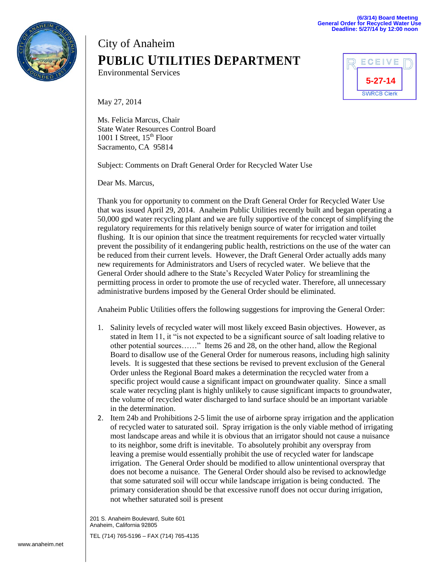

## City of Anaheim **PUBLIC UTILITIES DEPARTMENT**

Environmental Services



May 27, 2014

Ms. Felicia Marcus, Chair State Water Resources Control Board 1001 I Street,  $15<sup>th</sup>$  Floor Sacramento, CA 95814

Subject: Comments on Draft General Order for Recycled Water Use

Dear Ms. Marcus,

Thank you for opportunity to comment on the Draft General Order for Recycled Water Use that was issued April 29, 2014. Anaheim Public Utilities recently built and began operating a 50,000 gpd water recycling plant and we are fully supportive of the concept of simplifying the regulatory requirements for this relatively benign source of water for irrigation and toilet flushing. It is our opinion that since the treatment requirements for recycled water virtually prevent the possibility of it endangering public health, restrictions on the use of the water can be reduced from their current levels. However, the Draft General Order actually adds many new requirements for Administrators and Users of recycled water. We believe that the General Order should adhere to the State's Recycled Water Policy for streamlining the permitting process in order to promote the use of recycled water. Therefore, all unnecessary administrative burdens imposed by the General Order should be eliminated.

Anaheim Public Utilities offers the following suggestions for improving the General Order:

- 1. Salinity levels of recycled water will most likely exceed Basin objectives. However, as stated in Item 11, it "is not expected to be a significant source of salt loading relative to other potential sources……" Items 26 and 28, on the other hand, allow the Regional Board to disallow use of the General Order for numerous reasons, including high salinity levels. It is suggested that these sections be revised to prevent exclusion of the General Order unless the Regional Board makes a determination the recycled water from a specific project would cause a significant impact on groundwater quality. Since a small scale water recycling plant is highly unlikely to cause significant impacts to groundwater, the volume of recycled water discharged to land surface should be an important variable in the determination.
- 2. Item 24b and Prohibitions 2-5 limit the use of airborne spray irrigation and the application of recycled water to saturated soil. Spray irrigation is the only viable method of irrigating most landscape areas and while it is obvious that an irrigator should not cause a nuisance to its neighbor, some drift is inevitable. To absolutely prohibit any overspray from leaving a premise would essentially prohibit the use of recycled water for landscape irrigation. The General Order should be modified to allow unintentional overspray that does not become a nuisance. The General Order should also be revised to acknowledge that some saturated soil will occur while landscape irrigation is being conducted. The primary consideration should be that excessive runoff does not occur during irrigation, not whether saturated soil is present

201 S. Anaheim Boulevard, Suite 601 Anaheim, California 92805

TEL (714) 765-5196 – FAX (714) 765-4135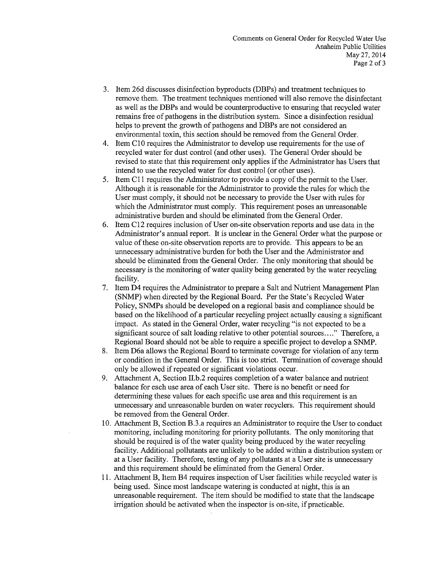- 3. Item 26d discusses disinfection byproducts (DBPs) and treatment techniques to remove them. The treatment techniques mentioned will also remove the disinfectant as well as the DBPs and would be counterproductive to ensuring that recycled water remains free of pathogens in the distribution system. Since a disinfection residual helps to prevent the growth of pathogens and DBPs are not considered an environmental toxin, this section should be removed from the General Order.
- 4. Item C10 requires the Administrator to develop use requirements for the use of recycled water for dust control (and other uses). The General Order should be revised to state that this requirement only applies if the Administrator has Users that intend to use the recycled water for dust control (or other uses).
- 5. Item C11 requires the Administrator to provide a copy of the permit to the User. Although it is reasonable for the Administrator to provide the rules for which the User must comply, it should not be necessary to provide the User with rules for which the Administrator must comply. This requirement poses an unreasonable administrative burden and should be eliminated from the General Order.
- Item C12 requires inclusion of User on-site observation reports and use data in the 6. Administrator's annual report. It is unclear in the General Order what the purpose or value of these on-site observation reports are to provide. This appears to be an unnecessary administrative burden for both the User and the Administrator and should be eliminated from the General Order. The only monitoring that should be necessary is the monitoring of water quality being generated by the water recycling facility.
- 7. Item D4 requires the Administrator to prepare a Salt and Nutrient Management Plan (SNMP) when directed by the Regional Board. Per the State's Recycled Water Policy, SNMPs should be developed on a regional basis and compliance should be based on the likelihood of a particular recycling project actually causing a significant impact. As stated in the General Order, water recycling "is not expected to be a significant source of salt loading relative to other potential sources...." Therefore, a Regional Board should not be able to require a specific project to develop a SNMP.
- 8. Item D6a allows the Regional Board to terminate coverage for violation of any term or condition in the General Order. This is too strict. Termination of coverage should only be allowed if repeated or significant violations occur.
- 9. Attachment A, Section II.b.2 requires completion of a water balance and nutrient balance for each use area of each User site. There is no benefit or need for determining these values for each specific use area and this requirement is an unnecessary and unreasonable burden on water recyclers. This requirement should be removed from the General Order.
- 10. Attachment B, Section B.3.a requires an Administrator to require the User to conduct monitoring, including monitoring for priority pollutants. The only monitoring that should be required is of the water quality being produced by the water recycling facility. Additional pollutants are unlikely to be added within a distribution system or at a User facility. Therefore, testing of any pollutants at a User site is unnecessary and this requirement should be eliminated from the General Order.
- 11. Attachment B, Item B4 requires inspection of User facilities while recycled water is being used. Since most landscape watering is conducted at night, this is an unreasonable requirement. The item should be modified to state that the landscape irrigation should be activated when the inspector is on-site, if practicable.